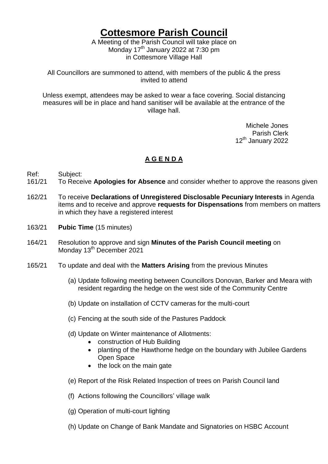## **Cottesmore Parish Council**

A Meeting of the Parish Council will take place on Monday  $17<sup>th</sup>$  January 2022 at 7:30 pm in Cottesmore Village Hall

All Councillors are summoned to attend, with members of the public & the press invited to attend

Unless exempt, attendees may be asked to wear a face covering. Social distancing measures will be in place and hand sanitiser will be available at the entrance of the village hall.

> Michele Jones Parish Clerk 12<sup>th</sup> January 2022

## **A G E N D A**

- Ref: Subject:
- 161/21 To Receive **Apologies for Absence** and consider whether to approve the reasons given
- 162/21 To receive **Declarations of Unregistered Disclosable Pecuniary Interests** in Agenda items and to receive and approve **requests for Dispensations** from members on matters in which they have a registered interest
- 163/21 **Pubic Time** (15 minutes)
- 164/21 Resolution to approve and sign **Minutes of the Parish Council meeting** on Monday 13<sup>th</sup> December 2021
- 165/21 To update and deal with the **Matters Arising** from the previous Minutes
	- (a) Update following meeting between Councillors Donovan, Barker and Meara with resident regarding the hedge on the west side of the Community Centre
	- (b) Update on installation of CCTV cameras for the multi-court
	- (c) Fencing at the south side of the Pastures Paddock
	- (d) Update on Winter maintenance of Allotments:
		- construction of Hub Building
		- planting of the Hawthorne hedge on the boundary with Jubilee Gardens Open Space
		- the lock on the main gate
	- (e) Report of the Risk Related Inspection of trees on Parish Council land
	- (f) Actions following the Councillors' village walk
	- (g) Operation of multi-court lighting
	- (h) Update on Change of Bank Mandate and Signatories on HSBC Account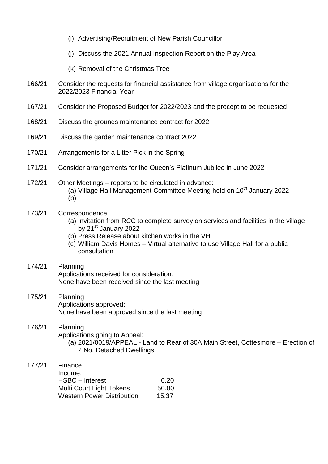- (i) Advertising/Recruitment of New Parish Councillor
- (j) Discuss the 2021 Annual Inspection Report on the Play Area
- (k) Removal of the Christmas Tree
- 166/21 Consider the requests for financial assistance from village organisations for the 2022/2023 Financial Year
- 167/21 Consider the Proposed Budget for 2022/2023 and the precept to be requested
- 168/21 Discuss the grounds maintenance contract for 2022
- 169/21 Discuss the garden maintenance contract 2022
- 170/21 Arrangements for a Litter Pick in the Spring
- 171/21 Consider arrangements for the Queen's Platinum Jubilee in June 2022
- 172/21 Other Meetings reports to be circulated in advance: (a) Village Hall Management Committee Meeting held on  $10<sup>th</sup>$  Januarv 2022 (b)
- 173/21 Correspondence
	- (a) Invitation from RCC to complete survey on services and facilities in the village by 21<sup>st</sup> January 2022
	- (b) Press Release about kitchen works in the VH
	- (c) William Davis Homes Virtual alternative to use Village Hall for a public consultation
- 174/21 Planning Applications received for consideration: None have been received since the last meeting
- 175/21 Planning Applications approved: None have been approved since the last meeting
- 176/21 Planning Applications going to Appeal: (a) 2021/0019/APPEAL - Land to Rear of 30A Main Street, Cottesmore – Erection of 2 No. Detached Dwellings
- 177/21 Finance Income: HSBC – Interest 0.20 Multi Court Light Tokens 50.00 Western Power Distribution 15.37